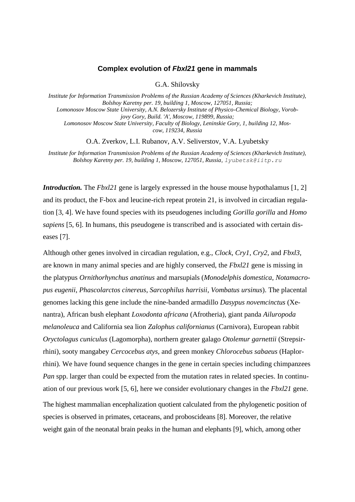## **Complex evolution of** *Fbxl21* **gene in mammals**

G.A. Shilovsky

*Institute for Information Transmission Problems of the Russian Academy of Sciences (Kharkevich Institute), Bolshoy Karetny per. 19, building 1, Moscow, 127051, Russia; Lomonosov Moscow State University, A.N. Belozersky Institute of Physico-Chemical Biology, Vorobjovy Gory, Build. 'A', Moscow, 119899, Russia; Lomonosov Moscow State University, Faculty of Biology, Leninskie Gory, 1, building 12, Moscow, 119234, Russia*

O.A. Zverkov, L.I. Rubanov, A.V. Seliverstov, V.A. Lyubetsky

*Institute for Information Transmission Problems of the Russian Academy of Sciences (Kharkevich Institute), Bolshoy Karetny per. 19, building 1, Moscow, 127051, Russia, lyubetsk@iitp.ru*

*Introduction.* The *Fbxl21* gene is largely expressed in the house mouse hypothalamus [1, 2] and its product, the F-box and leucine-rich repeat protein 21, is involved in circadian regulation [3, 4]. We have found species with its pseudogenes including *Gorilla gorilla* and *Homo sapiens* [5, 6]. In humans, this pseudogene is transcribed and is associated with certain diseases [7].

Although other genes involved in circadian regulation, e.g., *Clock*, *Cry1*, *Cry2*, and *Fbxl3*, are known in many animal species and are highly conserved, the *Fbxl21* gene is missing in the platypus *Ornithorhynchus anatinus* and marsupials (*Monodelphis domestica*, *Notamacropus eugenii*, *Phascolarctos cinereus*, *Sarcophilus harrisii*, *Vombatus ursinus*). The placental genomes lacking this gene include the nine-banded armadillo *Dasypus novemcinctus* (Xenantra), African bush elephant *Loxodonta africana* (Afrotheria), giant panda *Ailuropoda melanoleuca* and California sea lion *Zalophus californianus* (Carnivora), European rabbit *Oryctolagus cuniculus* (Lagomorpha), northern greater galago *Otolemur garnettii* (Strepsirrhini), sooty mangabey *Cercocebus atys,* and green monkey *Chlorocebus sabaeus* (Haplorrhini)*.* We have found sequence changes in the gene in certain species including chimpanzees *Pan* spp. larger than could be expected from the mutation rates in related species. In continuation of our previous work [5, 6], here we consider evolutionary changes in the *Fbxl21* gene. The highest mammalian encephalization quotient calculated from the phylogenetic position of species is observed in primates, cetaceans, and proboscideans [8]. Moreover, the relative weight gain of the neonatal brain peaks in the human and elephants [9], which, among other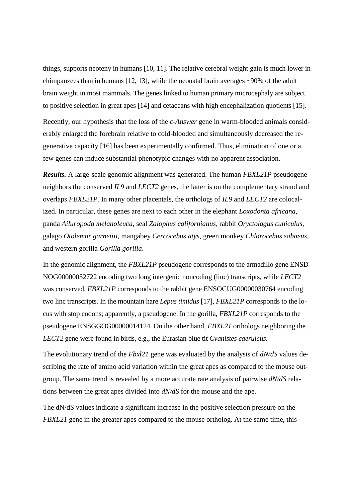things, supports neoteny in humans [10, 11]. The relative cerebral weight gain is much lower in chimpanzees than in humans [12, 13], while the neonatal brain averages ~90% of the adult brain weight in most mammals. The genes linked to human primary microcephaly are subject to positive selection in great apes [14] and cetaceans with high encephalization quotients [15].

Recently, our hypothesis that the loss of the *c-Answer* gene in warm-blooded animals considerably enlarged the forebrain relative to cold-blooded and simultaneously decreased the regenerative capacity [16] has been experimentally confirmed. Thus, elimination of one or a few genes can induce substantial phenotypic changes with no apparent association.

*Results.* A large-scale genomic alignment was generated. The human *FBXL21P* pseudogene neighbors the conserved *IL9* and *LECT2* genes, the latter is on the complementary strand and overlaps *FBXL21P*. In many other placentals, the orthologs of *IL9* and *LECT2* are colocalized. In particular, these genes are next to each other in the elephant *Loxodonta africana*, panda *Ailuropoda melanoleuca*, seal *Zalophus californianus*, rabbit *Oryctolagus cuniculus*, galago *Otolemur garnettii*, mangabey *Cercocebus atys,* green monkey *Chlorocebus sabaeus*, and western gorilla *Gorilla gorilla*.

In the genomic alignment, the *FBXL21P* pseudogene corresponds to the armadillo gene ENSD-NOG00000052722 encoding two long intergenic noncoding (linc) transcripts, while *LECT2* was conserved. *FBXL21P* corresponds to the rabbit gene ENSOCUG00000030764 encoding two linc transcripts. In the mountain hare *Lepus timidus* [17], *FBXL21P* corresponds to the locus with stop codons; apparently, a pseudogene. In the gorilla, *FBXL21P* corresponds to the pseudogene ENSGGOG00000014124. On the other hand, *FBXL21* orthologs neighboring the *LECT2* gene were found in birds, e.g., the Eurasian blue tit *Cyanistes caeruleus*.

The evolutionary trend of the *Fbxl21* gene was evaluated by the analysis of *dN/dS* values describing the rate of amino acid variation within the great apes as compared to the mouse outgroup. The same trend is revealed by a more accurate rate analysis of pairwise *dN/dS* relations between the great apes divided into *dN/dS* for the mouse and the ape.

The dN/dS values indicate a significant increase in the positive selection pressure on the *FBXL21* gene in the greater apes compared to the mouse ortholog. At the same time, this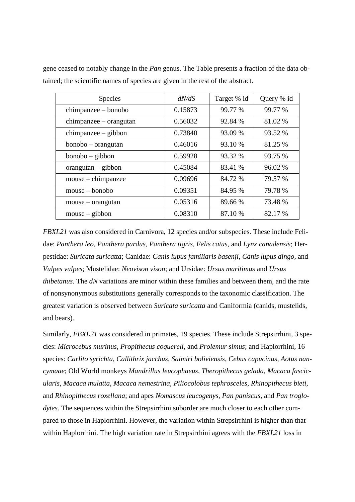| <b>Species</b>           | dN/dS   | Target % id | Query % id |
|--------------------------|---------|-------------|------------|
| chimpanzee – bonobo      | 0.15873 | 99.77 %     | 99.77 %    |
| $chimpanzee - orangutan$ | 0.56032 | 92.84 %     | 81.02 %    |
| chimpanzee – gibbon      | 0.73840 | 93.09 %     | 93.52 %    |
| bonobo – orangutan       | 0.46016 | 93.10 %     | 81.25 %    |
| $bonobo - gibbon$        | 0.59928 | 93.32 %     | 93.75 %    |
| $or angular - gibbon$    | 0.45084 | 83.41 %     | 96.02 %    |
| mouse – chimpanzee       | 0.09696 | 84.72 %     | 79.57 %    |
| $mouse - bonobo$         | 0.09351 | 84.95 %     | 79.78 %    |
| $mouse - orangutan$      | 0.05316 | 89.66 %     | 73.48 %    |
| $mouse - gibbon$         | 0.08310 | 87.10 %     | 82.17 %    |

gene ceased to notably change in the *Pan* genus. The Table presents a fraction of the data obtained; the scientific names of species are given in the rest of the abstract.

*FBXL21* was also considered in Carnivora, 12 species and/or subspecies. These include Felidae: *Panthera leo*, *Panthera pardus*, *Panthera tigris*, *Felis catus*, and *Lynx canadensis*; Herpestidae: *Suricata suricatta*; Canidae: *Canis lupus familiaris basenji*, *Canis lupus dingo*, and *Vulpes vulpes*; Mustelidae: *Neovison vison*; and Ursidae: *Ursus maritimus* and *Ursus thibetanus*. The *dN* variations are minor within these families and between them, and the rate of nonsynonymous substitutions generally corresponds to the taxonomic classification. The greatest variation is observed between *Suricata suricatta* and Caniformia (canids, mustelids, and bears).

Similarly, *FBXL21* was considered in primates, 19 species. These include Strepsirrhini, 3 species: *Microcebus murinus*, *Propithecus coquereli*, and *Prolemur simus*; and Haplorrhini, 16 species: *Carlito syrichta*, *Callithrix jacchus*, *Saimiri boliviensis*, *Cebus capucinus*, *Aotus nancymaae*; Old World monkeys *Mandrillus leucophaeus*, *Theropithecus gelada*, *Macaca fascicularis*, *Macaca mulatta*, *Macaca nemestrina*, *Piliocolobus tephrosceles*, *Rhinopithecus bieti*, and *Rhinopithecus roxellana*; and apes *Nomascus leucogenys*, *Pan paniscus,* and *Pan troglodytes*. The sequences within the Strepsirrhini suborder are much closer to each other compared to those in Haplorrhini. However, the variation within Strepsirrhini is higher than that within Haplorrhini. The high variation rate in Strepsirrhini agrees with the *FBXL21* loss in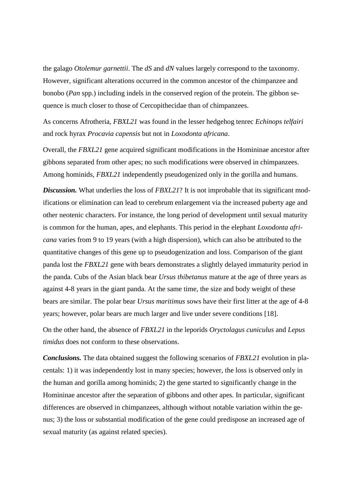the galago *Otolemur garnettii*. The *dS* and *dN* values largely correspond to the taxonomy. However, significant alterations occurred in the common ancestor of the chimpanzee and bonobo (*Pan* spp.) including indels in the conserved region of the protein. The gibbon sequence is much closer to those of Cercopithecidae than of chimpanzees.

As concerns Afrotheria, *FBXL21* was found in the lesser hedgehog tenrec *Echinops telfairi* and rock hyrax *Procavia capensis* but not in *Loxodonta africana*.

Overall, the *FBXL21* gene acquired significant modifications in the Homininae ancestor after gibbons separated from other apes; no such modifications were observed in chimpanzees. Among hominids, *FBXL21* independently pseudogenized only in the gorilla and humans.

**Discussion.** What underlies the loss of *FBXL21*? It is not improbable that its significant modifications or elimination can lead to cerebrum enlargement via the increased puberty age and other neotenic characters. For instance, the long period of development until sexual maturity is common for the human, apes, and elephants. This period in the elephant *Loxodonta africana* varies from 9 to 19 years (with a high dispersion), which can also be attributed to the quantitative changes of this gene up to pseudogenization and loss. Comparison of the giant panda lost the *FBXL21* gene with bears demonstrates a slightly delayed immaturity period in the panda. Cubs of the Asian black bear *Ursus thibetanus* mature at the age of three years as against 4-8 years in the giant panda. At the same time, the size and body weight of these bears are similar. The polar bear *Ursus maritimus* sows have their first litter at the age of 4-8 years; however, polar bears are much larger and live under severe conditions [18].

On the other hand, the absence of *FBXL21* in the leporids *Oryctolagus cuniculus* and *Lepus timidus* does not conform to these observations.

*Conclusions.* The data obtained suggest the following scenarios of *FBXL21* evolution in placentals: 1) it was independently lost in many species; however, the loss is observed only in the human and gorilla among hominids; 2) the gene started to significantly change in the Homininae ancestor after the separation of gibbons and other apes. In particular, significant differences are observed in chimpanzees, although without notable variation within the genus; 3) the loss or substantial modification of the gene could predispose an increased age of sexual maturity (as against related species).